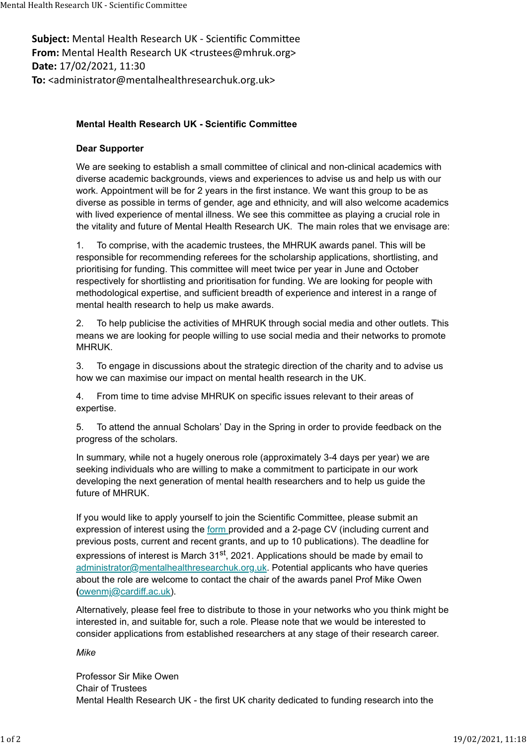Subject: Mental Health Research UK - Scientific Committee From: Mental Health Research UK <trustees@mhruk.org> Date: 17/02/2021, 11:30 To: <administrator@mentalhealthresearchuk.org.uk> Mental Health Research UK - Scientific Committee<br> **Subject:** Mental Health Research UK - Scientific Committee<br> **From:** Mental Health Research UK <trustees@mhruk.org>

## Mental Health Research UK - Scientific Committee

## Dear Supporter

We are seeking to establish a small committee of clinical and non-clinical academics with diverse academic backgrounds, views and experiences to advise us and help us with our work. Appointment will be for 2 years in the first instance. We want this group to be as diverse as possible in terms of gender, age and ethnicity, and will also welcome academics with lived experience of mental illness. We see this committee as playing a crucial role in the vitality and future of Mental Health Research UK. The main roles that we envisage are:

1. To comprise, with the academic trustees, the MHRUK awards panel. This will be responsible for recommending referees for the scholarship applications, shortlisting, and prioritising for funding. This committee will meet twice per year in June and October respectively for shortlisting and prioritisation for funding. We are looking for people with methodological expertise, and sufficient breadth of experience and interest in a range of mental health research to help us make awards.

2. To help publicise the activities of MHRUK through social media and other outlets. This means we are looking for people willing to use social media and their networks to promote MHRUK.

3. To engage in discussions about the strategic direction of the charity and to advise us how we can maximise our impact on mental health research in the UK.

4. From time to time advise MHRUK on specific issues relevant to their areas of expertise.

5. To attend the annual Scholars' Day in the Spring in order to provide feedback on the progress of the scholars.

In summary, while not a hugely onerous role (approximately 3-4 days per year) we are seeking individuals who are willing to make a commitment to participate in our work developing the next generation of mental health researchers and to help us guide the future of MHRUK.

If you would like to apply yourself to join the Scientific Committee, please submit an expression of interest using the form provided and a 2-page CV (including current and previous posts, current and recent grants, and up to 10 publications). The deadline for expressions of interest is March  $31<sup>st</sup>$ , 2021. Applications should be made by email to administrator@mentalhealthresearchuk.org.uk. Potential applicants who have queries about the role are welcome to contact the chair of the awards panel Prof Mike Owen (owenmj@cardiff.ac.uk).

Alternatively, please feel free to distribute to those in your networks who you think might be interested in, and suitable for, such a role. Please note that we would be interested to consider applications from established researchers at any stage of their research career.

## Mike

Professor Sir Mike Owen Chair of Trustees Mental Health Research UK - the first UK charity dedicated to funding research into the